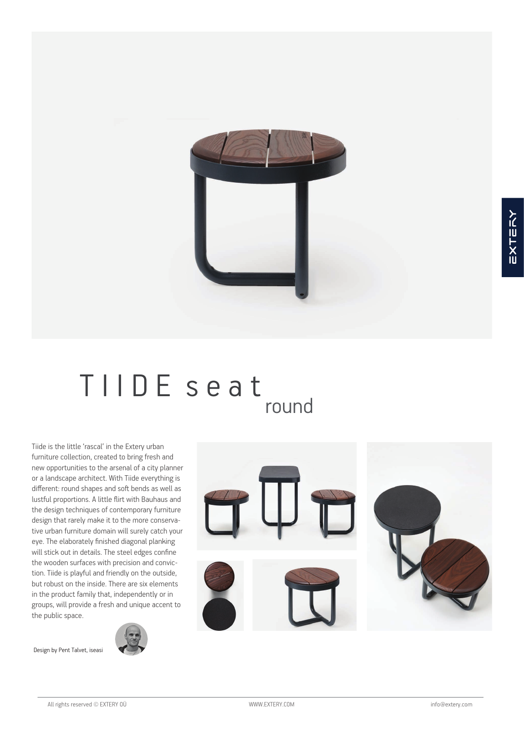

# TIIDE seat round

Tiide is the little 'rascal' in the Extery urban furniture collection, created to bring fresh and new opportunities to the arsenal of a city planner or a landscape architect. With Tiide everything is different: round shapes and soft bends as well as lustful proportions. A little flirt with Bauhaus and the design techniques of contemporary furniture design that rarely make it to the more conservative urban furniture domain will surely catch your eye. The elaborately finished diagonal planking will stick out in details. The steel edges confine the wooden surfaces with precision and conviction. Tiide is playful and friendly on the outside, but robust on the inside. There are six elements in the product family that, independently or in groups, will provide a fresh and unique accent to the public space.



Design by Pent Talvet, iseasi